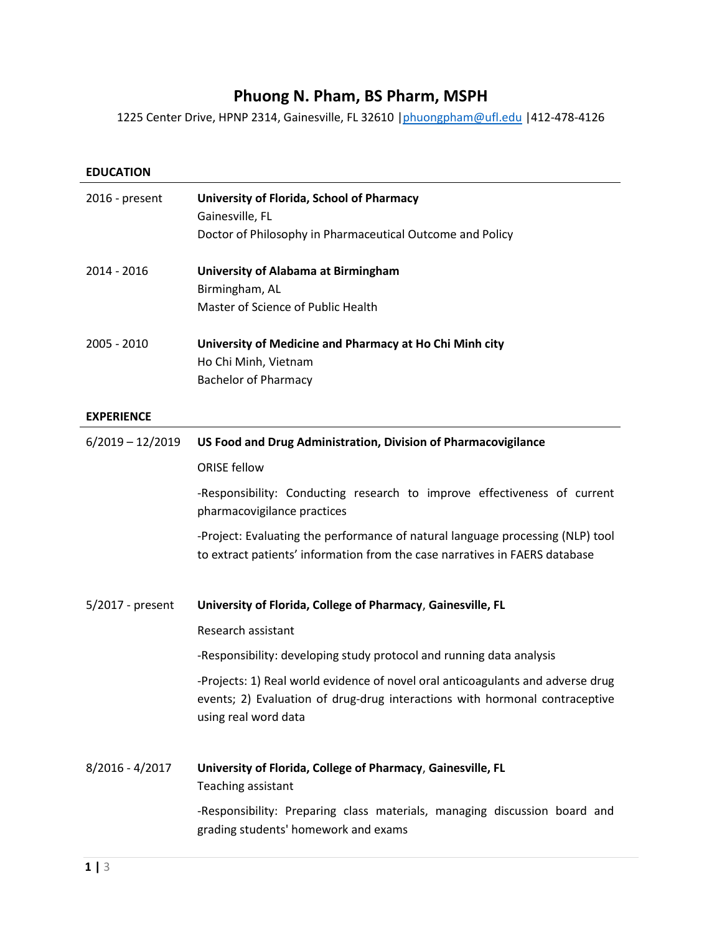# **Phuong N. Pham, BS Pharm, MSPH**

1225 Center Drive, HPNP 2314, Gainesville, FL 32610 | phuongpham@ufl.edu | 412-478-4126

| <b>EDUCATION</b>   |                                                                                                                                                                                        |
|--------------------|----------------------------------------------------------------------------------------------------------------------------------------------------------------------------------------|
| 2016 - present     | University of Florida, School of Pharmacy                                                                                                                                              |
|                    | Gainesville, FL                                                                                                                                                                        |
|                    | Doctor of Philosophy in Pharmaceutical Outcome and Policy                                                                                                                              |
| 2014 - 2016        | University of Alabama at Birmingham                                                                                                                                                    |
|                    | Birmingham, AL                                                                                                                                                                         |
|                    | Master of Science of Public Health                                                                                                                                                     |
| 2005 - 2010        | University of Medicine and Pharmacy at Ho Chi Minh city                                                                                                                                |
|                    | Ho Chi Minh, Vietnam                                                                                                                                                                   |
|                    | <b>Bachelor of Pharmacy</b>                                                                                                                                                            |
| <b>EXPERIENCE</b>  |                                                                                                                                                                                        |
| $6/2019 - 12/2019$ | US Food and Drug Administration, Division of Pharmacovigilance                                                                                                                         |
|                    | <b>ORISE fellow</b>                                                                                                                                                                    |
|                    | -Responsibility: Conducting research to improve effectiveness of current<br>pharmacovigilance practices                                                                                |
|                    | -Project: Evaluating the performance of natural language processing (NLP) tool<br>to extract patients' information from the case narratives in FAERS database                          |
| 5/2017 - present   | University of Florida, College of Pharmacy, Gainesville, FL                                                                                                                            |
|                    | Research assistant                                                                                                                                                                     |
|                    | -Responsibility: developing study protocol and running data analysis                                                                                                                   |
|                    | -Projects: 1) Real world evidence of novel oral anticoagulants and adverse drug<br>events; 2) Evaluation of drug-drug interactions with hormonal contraceptive<br>using real word data |
| $8/2016 - 4/2017$  | University of Florida, College of Pharmacy, Gainesville, FL<br>Teaching assistant                                                                                                      |
|                    | -Responsibility: Preparing class materials, managing discussion board and<br>grading students' homework and exams                                                                      |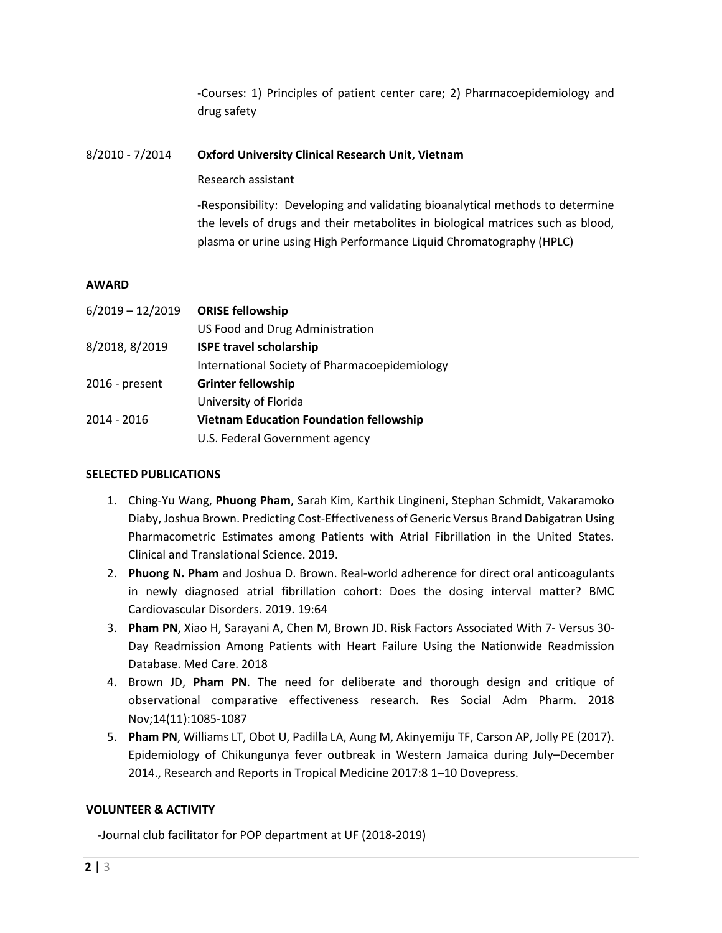-Courses: 1) Principles of patient center care; 2) Pharmacoepidemiology and drug safety

## 8/2010 - 7/2014 **Oxford University Clinical Research Unit, Vietnam**

Research assistant

-Responsibility: Developing and validating bioanalytical methods to determine the levels of drugs and their metabolites in biological matrices such as blood, plasma or urine using High Performance Liquid Chromatography (HPLC)

### **AWARD**

| $6/2019 - 12/2019$ | <b>ORISE fellowship</b>                        |
|--------------------|------------------------------------------------|
|                    | US Food and Drug Administration                |
| 8/2018, 8/2019     | <b>ISPE travel scholarship</b>                 |
|                    | International Society of Pharmacoepidemiology  |
| 2016 - present     | <b>Grinter fellowship</b>                      |
|                    | University of Florida                          |
| 2014 - 2016        | <b>Vietnam Education Foundation fellowship</b> |
|                    | U.S. Federal Government agency                 |

### **SELECTED PUBLICATIONS**

- 1. Ching-Yu Wang, **Phuong Pham**, Sarah Kim, Karthik Lingineni, Stephan Schmidt, Vakaramoko Diaby, Joshua Brown. Predicting Cost-Effectiveness of Generic Versus Brand Dabigatran Using Pharmacometric Estimates among Patients with Atrial Fibrillation in the United States. Clinical and Translational Science. 2019.
- 2. **Phuong N. Pham** and Joshua D. Brown. Real-world adherence for direct oral anticoagulants in newly diagnosed atrial fibrillation cohort: Does the dosing interval matter? BMC Cardiovascular Disorders. 2019. 19:64
- 3. **Pham PN**, Xiao H, Sarayani A, Chen M, Brown JD. Risk Factors Associated With 7- Versus 30- Day Readmission Among Patients with Heart Failure Using the Nationwide Readmission Database. Med Care. 2018
- 4. Brown JD, **Pham PN**. The need for deliberate and thorough design and critique of observational comparative effectiveness research. Res Social Adm Pharm. 2018 Nov;14(11):1085-1087
- 5. **Pham PN**, Williams LT, Obot U, Padilla LA, Aung M, Akinyemiju TF, Carson AP, Jolly PE (2017). Epidemiology of Chikungunya fever outbreak in Western Jamaica during July–December 2014., Research and Reports in Tropical Medicine 2017:8 1–10 Dovepress.

### **VOLUNTEER & ACTIVITY**

-Journal club facilitator for POP department at UF (2018-2019)